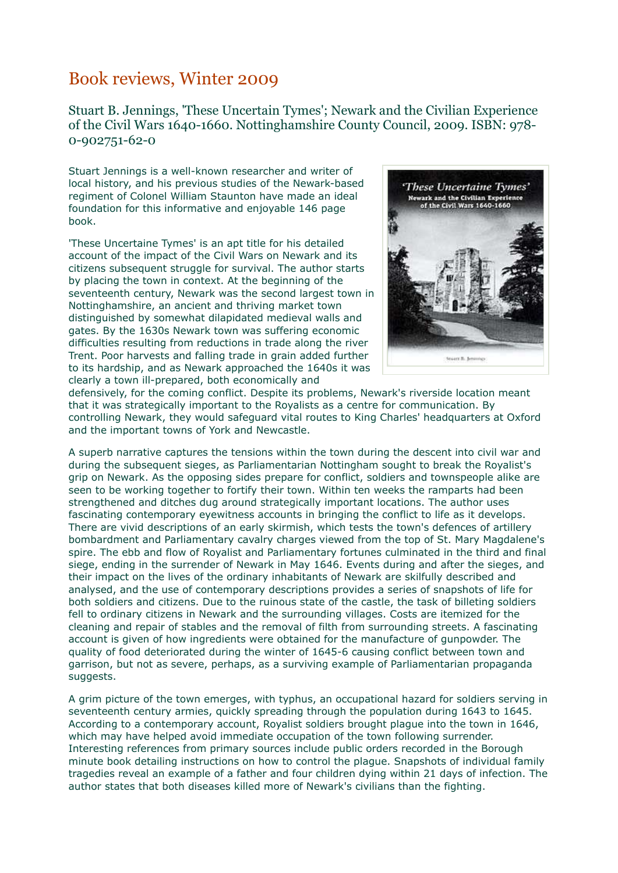## Book reviews, Winter 2009

Stuart B. Jennings, 'These Uncertain Tymes'; Newark and the Civilian Experience of the Civil Wars 1640-1660. Nottinghamshire County Council, 2009. ISBN: 978- 0-902751-62-0

Stuart Jennings is a well-known researcher and writer of local history, and his previous studies of the Newark-based regiment of Colonel William Staunton have made an ideal foundation for this informative and enjoyable 146 page book.

'These Uncertaine Tymes' is an apt title for his detailed account of the impact of the Civil Wars on Newark and its citizens subsequent struggle for survival. The author starts by placing the town in context. At the beginning of the seventeenth century, Newark was the second largest town in Nottinghamshire, an ancient and thriving market town distinguished by somewhat dilapidated medieval walls and gates. By the 1630s Newark town was suffering economic difficulties resulting from reductions in trade along the river Trent. Poor harvests and falling trade in grain added further to its hardship, and as Newark approached the 1640s it was clearly a town ill-prepared, both economically and



defensively, for the coming conflict. Despite its problems, Newark's riverside location meant that it was strategically important to the Royalists as a centre for communication. By controlling Newark, they would safeguard vital routes to King Charles' headquarters at Oxford and the important towns of York and Newcastle.

A superb narrative captures the tensions within the town during the descent into civil war and during the subsequent sieges, as Parliamentarian Nottingham sought to break the Royalist's grip on Newark. As the opposing sides prepare for conflict, soldiers and townspeople alike are seen to be working together to fortify their town. Within ten weeks the ramparts had been strengthened and ditches dug around strategically important locations. The author uses fascinating contemporary eyewitness accounts in bringing the conflict to life as it develops. There are vivid descriptions of an early skirmish, which tests the town's defences of artillery bombardment and Parliamentary cavalry charges viewed from the top of St. Mary Magdalene's spire. The ebb and flow of Royalist and Parliamentary fortunes culminated in the third and final siege, ending in the surrender of Newark in May 1646. Events during and after the sieges, and their impact on the lives of the ordinary inhabitants of Newark are skilfully described and analysed, and the use of contemporary descriptions provides a series of snapshots of life for both soldiers and citizens. Due to the ruinous state of the castle, the task of billeting soldiers fell to ordinary citizens in Newark and the surrounding villages. Costs are itemized for the cleaning and repair of stables and the removal of filth from surrounding streets. A fascinating account is given of how ingredients were obtained for the manufacture of gunpowder. The quality of food deteriorated during the winter of 1645-6 causing conflict between town and garrison, but not as severe, perhaps, as a surviving example of Parliamentarian propaganda suggests.

A grim picture of the town emerges, with typhus, an occupational hazard for soldiers serving in seventeenth century armies, quickly spreading through the population during 1643 to 1645. According to a contemporary account, Royalist soldiers brought plague into the town in 1646, which may have helped avoid immediate occupation of the town following surrender. Interesting references from primary sources include public orders recorded in the Borough minute book detailing instructions on how to control the plague. Snapshots of individual family tragedies reveal an example of a father and four children dying within 21 days of infection. The author states that both diseases killed more of Newark's civilians than the fighting.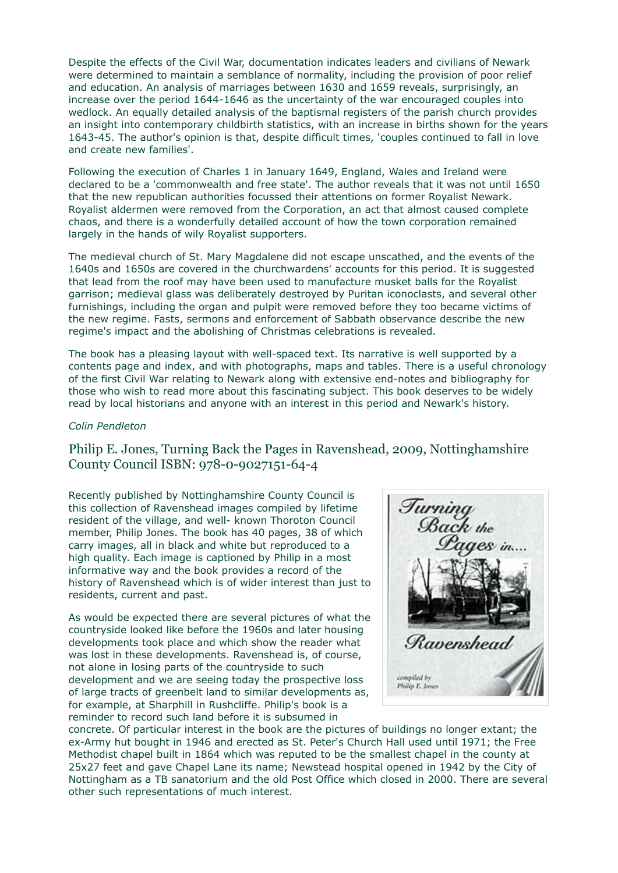Despite the effects of the Civil War, documentation indicates leaders and civilians of Newark were determined to maintain a semblance of normality, including the provision of poor relief and education. An analysis of marriages between 1630 and 1659 reveals, surprisingly, an increase over the period 1644-1646 as the uncertainty of the war encouraged couples into wedlock. An equally detailed analysis of the baptismal registers of the parish church provides an insight into contemporary childbirth statistics, with an increase in births shown for the years 1643-45. The author's opinion is that, despite difficult times, 'couples continued to fall in love and create new families'.

Following the execution of Charles 1 in January 1649, England, Wales and Ireland were declared to be a 'commonwealth and free state'. The author reveals that it was not until 1650 that the new republican authorities focussed their attentions on former Royalist Newark. Royalist aldermen were removed from the Corporation, an act that almost caused complete chaos, and there is a wonderfully detailed account of how the town corporation remained largely in the hands of wily Royalist supporters.

The medieval church of St. Mary Magdalene did not escape unscathed, and the events of the 1640s and 1650s are covered in the churchwardens' accounts for this period. It is suggested that lead from the roof may have been used to manufacture musket balls for the Royalist garrison; medieval glass was deliberately destroyed by Puritan iconoclasts, and several other furnishings, including the organ and pulpit were removed before they too became victims of the new regime. Fasts, sermons and enforcement of Sabbath observance describe the new regime's impact and the abolishing of Christmas celebrations is revealed.

The book has a pleasing layout with well-spaced text. Its narrative is well supported by a contents page and index, and with photographs, maps and tables. There is a useful chronology of the first Civil War relating to Newark along with extensive end-notes and bibliography for those who wish to read more about this fascinating subject. This book deserves to be widely read by local historians and anyone with an interest in this period and Newark's history.

## Colin Pendleton

## Philip E. Jones, Turning Back the Pages in Ravenshead, 2009, Nottinghamshire County Council ISBN: 978-0-9027151-64-4

Recently published by Nottinghamshire County Council is this collection of Ravenshead images compiled by lifetime resident of the village, and well- known Thoroton Council member, Philip Jones. The book has 40 pages, 38 of which carry images, all in black and white but reproduced to a high quality. Each image is captioned by Philip in a most informative way and the book provides a record of the history of Ravenshead which is of wider interest than just to residents, current and past.

As would be expected there are several pictures of what the countryside looked like before the 1960s and later housing developments took place and which show the reader what was lost in these developments. Ravenshead is, of course, not alone in losing parts of the countryside to such development and we are seeing today the prospective loss of large tracts of greenbelt land to similar developments as, for example, at Sharphill in Rushcliffe. Philip's book is a reminder to record such land before it is subsumed in



concrete. Of particular interest in the book are the pictures of buildings no longer extant; the ex-Army hut bought in 1946 and erected as St. Peter's Church Hall used until 1971; the Free Methodist chapel built in 1864 which was reputed to be the smallest chapel in the county at 25x27 feet and gave Chapel Lane its name; Newstead hospital opened in 1942 by the City of Nottingham as a TB sanatorium and the old Post Office which closed in 2000. There are several other such representations of much interest.